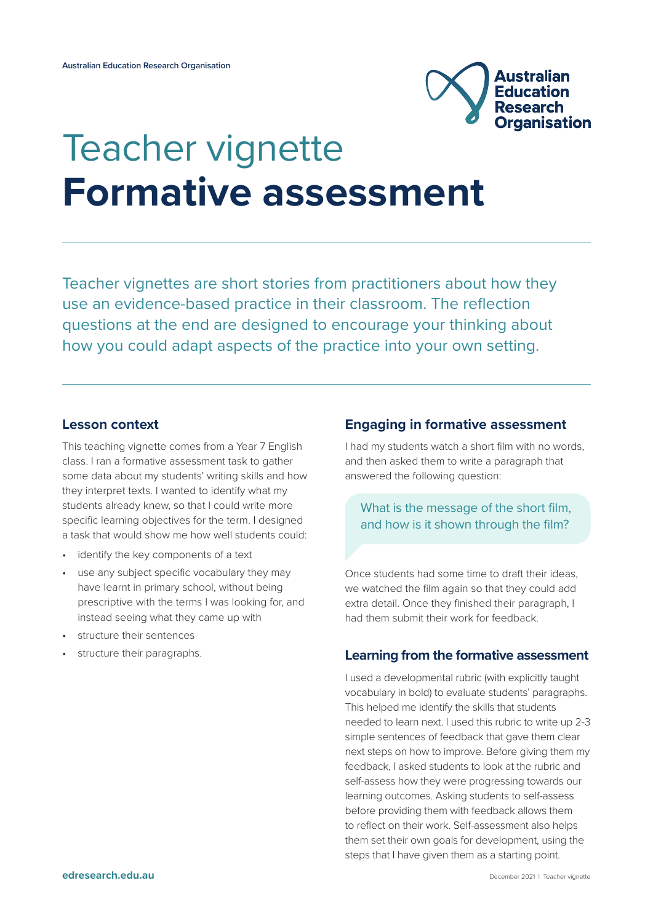

# Teacher vignette **Formative assessment**

Teacher vignettes are short stories from practitioners about how they use an evidence-based practice in their classroom. The reflection questions at the end are designed to encourage your thinking about how you could adapt aspects of the practice into your own setting.

#### **Lesson context**

This teaching vignette comes from a Year 7 English class. I ran a formative assessment task to gather some data about my students' writing skills and how they interpret texts. I wanted to identify what my students already knew, so that I could write more specific learning objectives for the term. I designed a task that would show me how well students could:

- identify the key components of a text
- use any subject specific vocabulary they may have learnt in primary school, without being prescriptive with the terms I was looking for, and instead seeing what they came up with
- structure their sentences
- structure their paragraphs.

## **Engaging in formative assessment**

I had my students watch a short film with no words, and then asked them to write a paragraph that answered the following question:

# What is the message of the short film, and how is it shown through the film?

Once students had some time to draft their ideas, we watched the film again so that they could add extra detail. Once they finished their paragraph, I had them submit their work for feedback.

## **Learning from the formative assessment**

I used a developmental rubric (with explicitly taught vocabulary in bold) to evaluate students' paragraphs. This helped me identify the skills that students needed to learn next. I used this rubric to write up 2-3 simple sentences of feedback that gave them clear next steps on how to improve. Before giving them my feedback, I asked students to look at the rubric and self-assess how they were progressing towards our learning outcomes. Asking students to self-assess before providing them with feedback allows them to reflect on their work. Self-assessment also helps them set their own goals for development, using the steps that I have given them as a starting point.